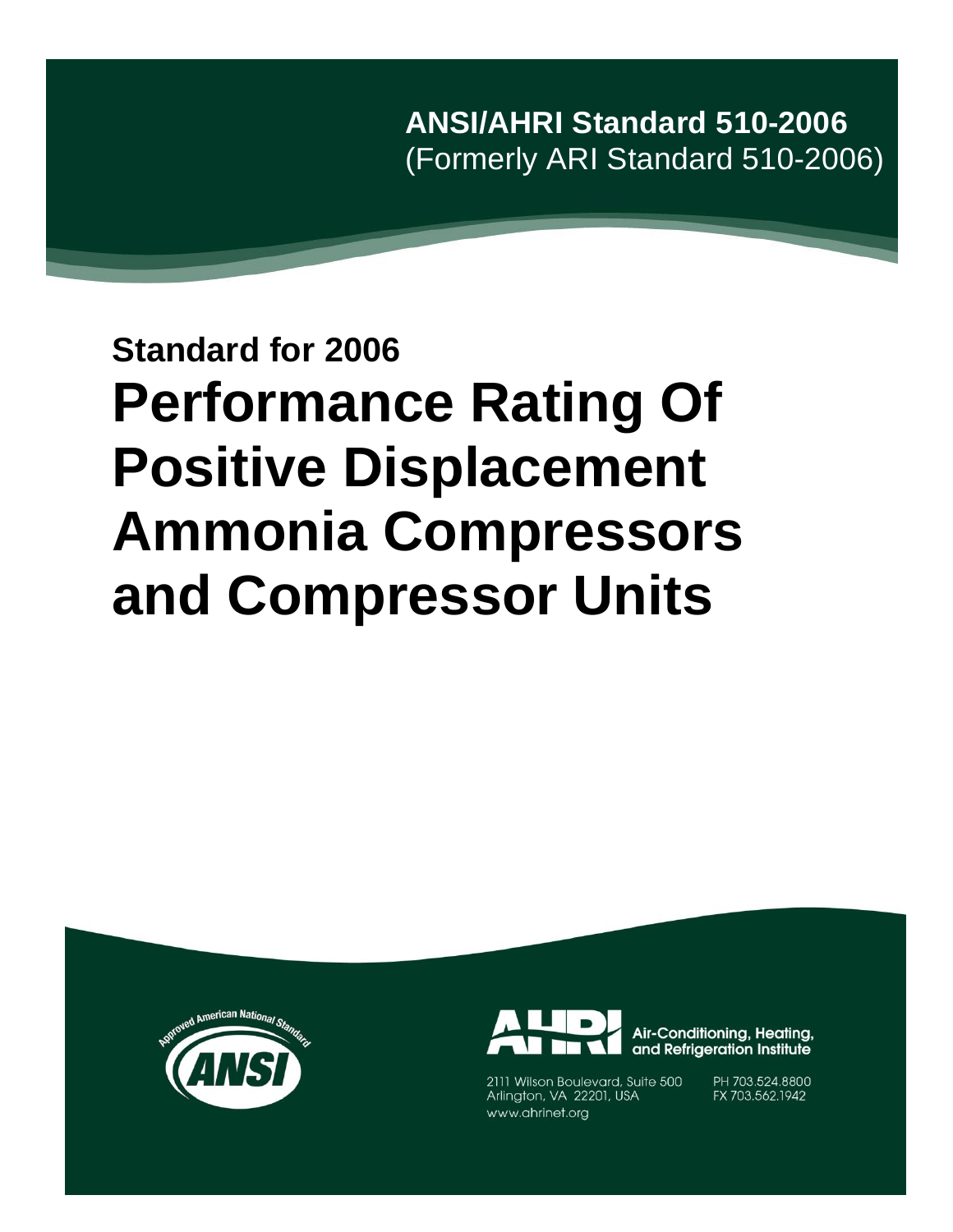**ANSI/AHRI Standard 510-2006** (Formerly ARI Standard 510-2006)

# **Standard for 2006 Performance Rating Of Positive Displacement Ammonia Compressors and Compressor Units**





2111 Wilson Boulevard, Suite 500 Arlington, VA 22201, USA www.ahrinet.org

PH 703.524.8800 FX 703.562.1942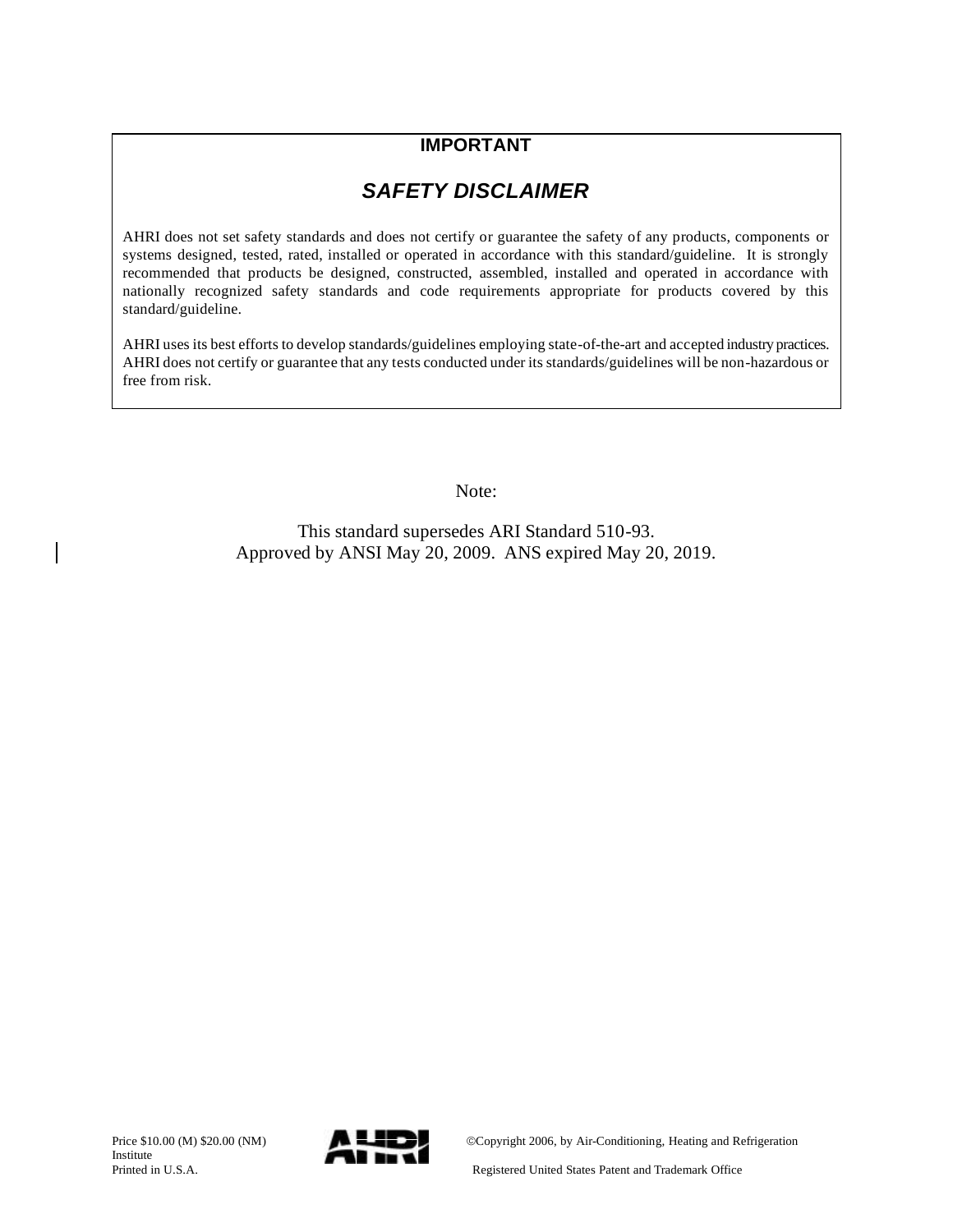## **IMPORTANT**

## *SAFETY DISCLAIMER*

AHRI does not set safety standards and does not certify or guarantee the safety of any products, components or systems designed, tested, rated, installed or operated in accordance with this standard/guideline. It is strongly recommended that products be designed, constructed, assembled, installed and operated in accordance with nationally recognized safety standards and code requirements appropriate for products covered by this standard/guideline.

AHRI uses its best efforts to develop standards/guidelines employing state-of-the-art and accepted industry practices. AHRI does not certify or guarantee that any tests conducted under its standards/guidelines will be non-hazardous or free from risk.

Note:

This standard supersedes ARI Standard 510-93. Approved by ANSI May 20, 2009. ANS expired May 20, 2019.

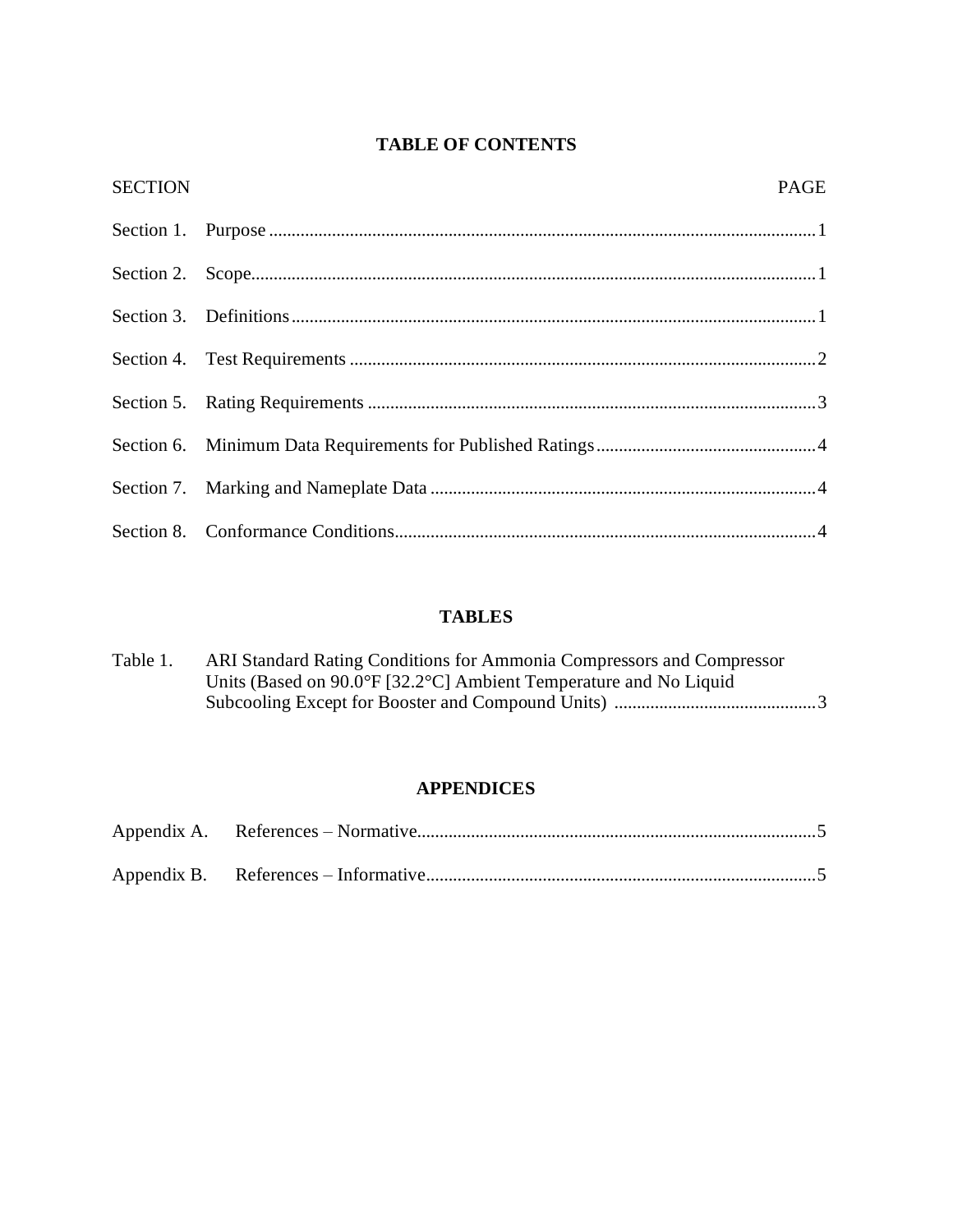## **TABLE OF CONTENTS**

| <b>SECTION</b> | <b>PAGE</b> |  |
|----------------|-------------|--|
|                |             |  |
|                |             |  |
|                |             |  |
|                |             |  |
|                |             |  |
|                |             |  |
|                |             |  |
|                |             |  |

## **TABLES**

| Table 1. | ARI Standard Rating Conditions for Ammonia Compressors and Compressor |
|----------|-----------------------------------------------------------------------|
|          | Units (Based on 90.0°F [32.2°C] Ambient Temperature and No Liquid     |
|          |                                                                       |

### **APPENDICES**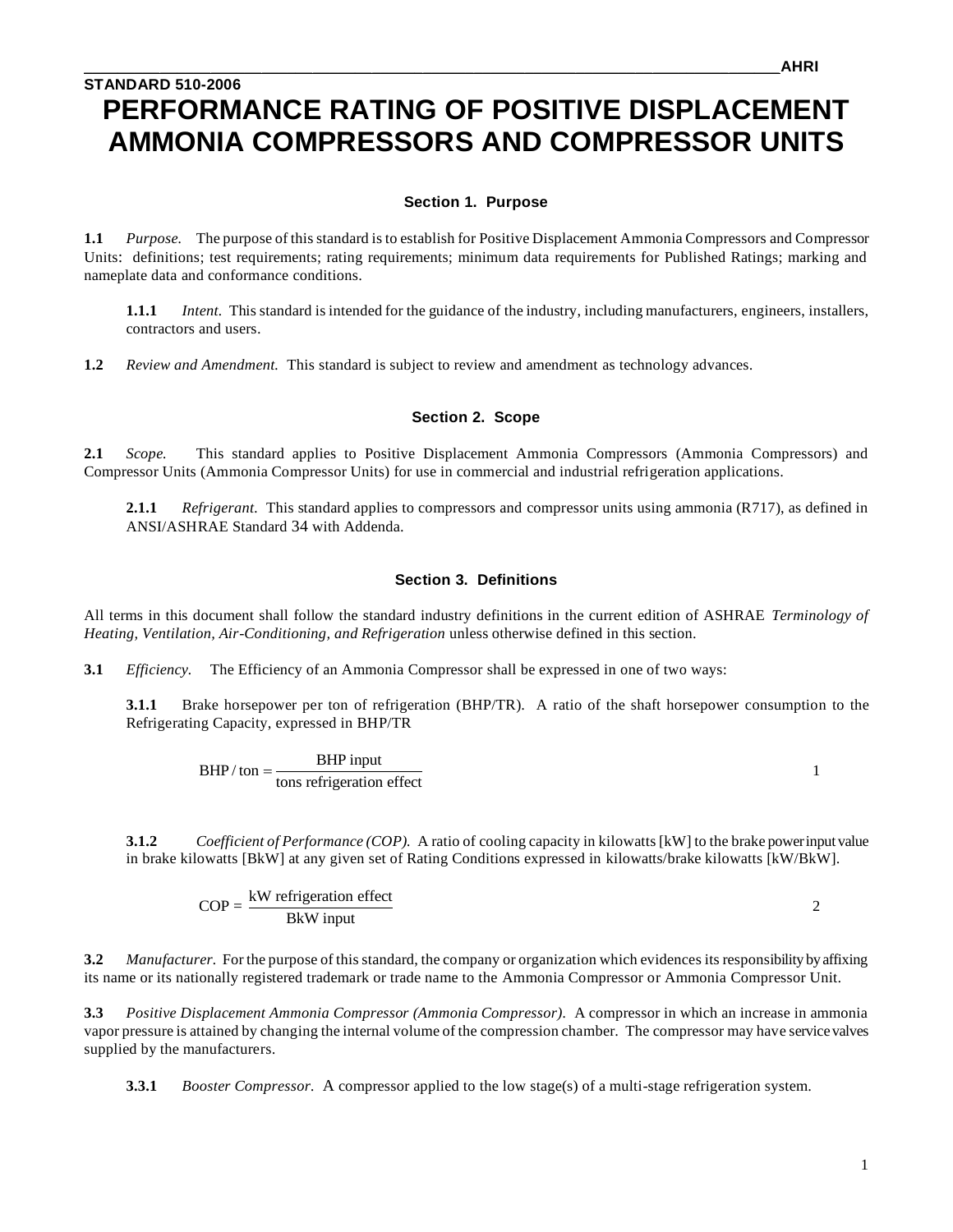## **STANDARD 510-2006 PERFORMANCE RATING OF POSITIVE DISPLACEMENT AMMONIA COMPRESSORS AND COMPRESSOR UNITS**

#### **Section 1. Purpose**

**1.1** *Purpose.* The purpose of this standard is to establish for Positive Displacement Ammonia Compressors and Compressor Units: definitions; test requirements; rating requirements; minimum data requirements for Published Ratings; marking and nameplate data and conformance conditions.

**1.1.1** *Intent.* This standard is intended for the guidance of the industry, including manufacturers, engineers, installers, contractors and users.

**1.2** *Review and Amendment.* This standard is subject to review and amendment as technology advances.

#### **Section 2. Scope**

**2.1** *Scope.* This standard applies to Positive Displacement Ammonia Compressors (Ammonia Compressors) and Compressor Units (Ammonia Compressor Units) for use in commercial and industrial refrigeration applications.

**2.1.1** *Refrigerant.* This standard applies to compressors and compressor units using ammonia (R717), as defined in ANSI/ASHRAE Standard 34 with Addenda.

#### **Section 3. Definitions**

All terms in this document shall follow the standard industry definitions in the current edition of ASHRAE *Terminology of Heating, Ventilation, Air-Conditioning, and Refrigeration* unless otherwise defined in this section.

**3.1** *Efficiency.* The Efficiency of an Ammonia Compressor shall be expressed in one of two ways:

**3.1.1** Brake horsepower per ton of refrigeration (BHP/TR). A ratio of the shaft horsepower consumption to the Refrigerating Capacity, expressed in BHP/TR

 $BHP / \text{ton} = \frac{BHP \text{ input}}{\text{tons refrigerator effect}}$ 

**3.1.2** *Coefficient of Performance (COP).* A ratio of cooling capacity in kilowatts [kW] to the brake power input value in brake kilowatts [BkW] at any given set of Rating Conditions expressed in kilowatts/brake kilowatts [kW/BkW].

$$
COP = \frac{kW \text{ refrigerator effect}}{BkW \text{ input}}
$$

**3.2** *Manufacturer.* For the purpose of this standard, the company or organization which evidences its responsibility by affixing its name or its nationally registered trademark or trade name to the Ammonia Compressor or Ammonia Compressor Unit.

**3.3** *Positive Displacement Ammonia Compressor (Ammonia Compressor).* A compressor in which an increase in ammonia vapor pressure is attained by changing the internal volume of the compression chamber. The compressor may have service valves supplied by the manufacturers.

**3.3.1** *Booster Compressor.* A compressor applied to the low stage(s) of a multi-stage refrigeration system.

1

2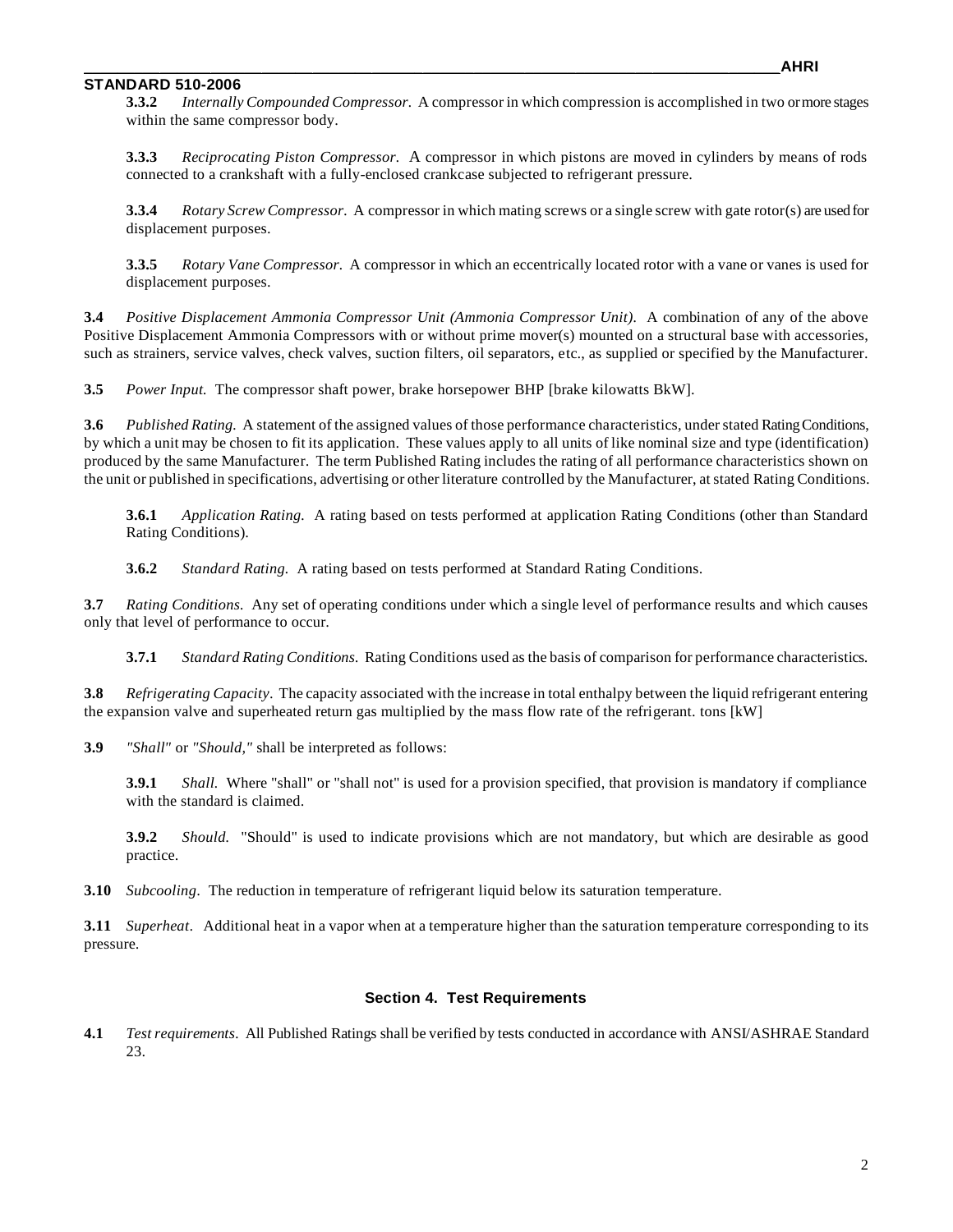#### **STANDARD 510-2006**

**3.3.2** *Internally Compounded Compressor.* A compressor in which compression is accomplished in two or more stages within the same compressor body.

**3.3.3** *Reciprocating Piston Compressor.* A compressor in which pistons are moved in cylinders by means of rods connected to a crankshaft with a fully-enclosed crankcase subjected to refrigerant pressure.

**3.3.4** *Rotary Screw Compressor.* A compressor in which mating screws or a single screw with gate rotor(s) are used for displacement purposes.

**3.3.5** *Rotary Vane Compressor.* A compressor in which an eccentrically located rotor with a vane or vanes is used for displacement purposes.

**3.4** *Positive Displacement Ammonia Compressor Unit (Ammonia Compressor Unit).* A combination of any of the above Positive Displacement Ammonia Compressors with or without prime mover(s) mounted on a structural base with accessories, such as strainers, service valves, check valves, suction filters, oil separators, etc., as supplied or specified by the Manufacturer.

**3.5** *Power Input.* The compressor shaft power, brake horsepower BHP [brake kilowatts BkW].

**3.6** *Published Rating.* A statement of the assigned values of those performance characteristics, under stated Rating Conditions, by which a unit may be chosen to fit its application. These values apply to all units of like nominal size and type (identification) produced by the same Manufacturer. The term Published Rating includes the rating of all performance characteristics shown on the unit or published in specifications, advertising or other literature controlled by the Manufacturer, at stated Rating Conditions.

**3.6.1** *Application Rating.* A rating based on tests performed at application Rating Conditions (other than Standard Rating Conditions).

**3.6.2** *Standard Rating.* A rating based on tests performed at Standard Rating Conditions.

**3.7** *Rating Conditions.* Any set of operating conditions under which a single level of performance results and which causes only that level of performance to occur.

**3.7.1** *Standard Rating Conditions.* Rating Conditions used as the basis of comparison for performance characteristics.

**3.8** *Refrigerating Capacity*. The capacity associated with the increase in total enthalpy between the liquid refrigerant entering the expansion valve and superheated return gas multiplied by the mass flow rate of the refrigerant. tons [kW]

**3.9** *"Shall"* or *"Should,"* shall be interpreted as follows:

**3.9.1** *Shall.* Where "shall" or "shall not" is used for a provision specified, that provision is mandatory if compliance with the standard is claimed.

**3.9.2** *Should.* "Should" is used to indicate provisions which are not mandatory, but which are desirable as good practice.

**3.10** *Subcooling*. The reduction in temperature of refrigerant liquid below its saturation temperature.

**3.11** *Superheat*. Additional heat in a vapor when at a temperature higher than the saturation temperature corresponding to its pressure.

#### **Section 4. Test Requirements**

**4.1** *Test requirements.* All Published Ratings shall be verified by tests conducted in accordance with ANSI/ASHRAE Standard 23.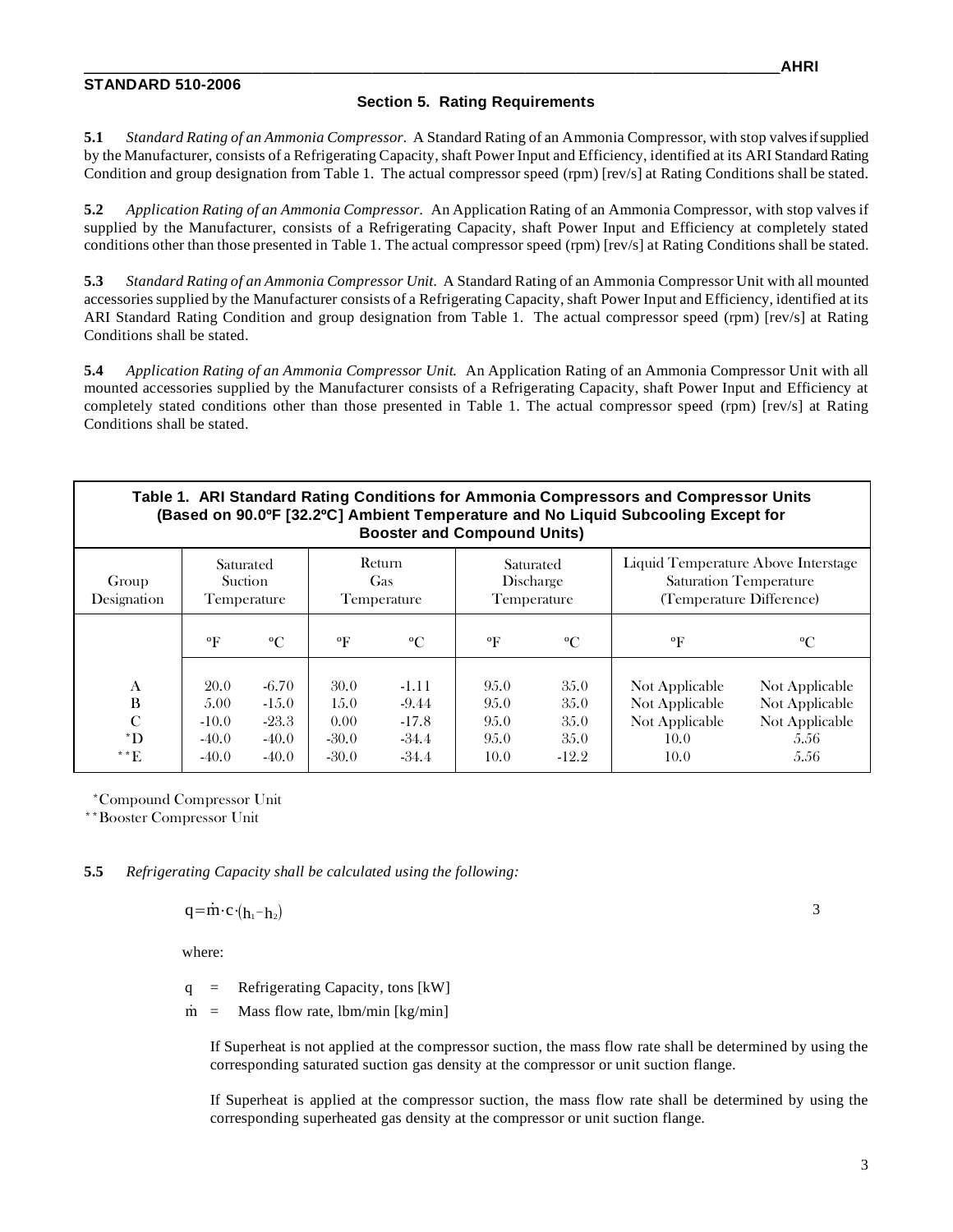#### **STANDARD 510-2006**

#### **Section 5. Rating Requirements**

**5.1** *Standard Rating of an Ammonia Compressor.* A Standard Rating of an Ammonia Compressor, with stop valves ifsupplied by the Manufacturer, consists of a Refrigerating Capacity, shaft Power Input and Efficiency, identified at its ARI Standard Rating Condition and group designation from Table 1. The actual compressor speed (rpm) [rev/s] at Rating Conditions shall be stated.

**5.2** *Application Rating of an Ammonia Compressor.* An Application Rating of an Ammonia Compressor, with stop valves if supplied by the Manufacturer, consists of a Refrigerating Capacity, shaft Power Input and Efficiency at completely stated conditions other than those presented in Table 1. The actual compressor speed (rpm) [rev/s] at Rating Conditions shall be stated.

**5.3** *Standard Rating of an Ammonia Compressor Unit.* A Standard Rating of an Ammonia Compressor Unit with all mounted accessories supplied by the Manufacturer consists of a Refrigerating Capacity, shaft Power Input and Efficiency, identified at its ARI Standard Rating Condition and group designation from Table 1. The actual compressor speed (rpm) [rev/s] at Rating Conditions shall be stated.

**5.4** *Application Rating of an Ammonia Compressor Unit.* An Application Rating of an Ammonia Compressor Unit with all mounted accessories supplied by the Manufacturer consists of a Refrigerating Capacity, shaft Power Input and Efficiency at completely stated conditions other than those presented in Table 1. The actual compressor speed (rpm) [rev/s] at Rating Conditions shall be stated.

| Table 1. ARI Standard Rating Conditions for Ammonia Compressors and Compressor Units<br>(Based on 90.0ºF [32.2ºC] Ambient Temperature and No Liquid Subcooling Except for<br><b>Booster and Compound Units)</b> |                                               |                                                      |                                             |                                                     |                                         |                                         |                                                                                                  |                                                                    |  |  |  |  |
|-----------------------------------------------------------------------------------------------------------------------------------------------------------------------------------------------------------------|-----------------------------------------------|------------------------------------------------------|---------------------------------------------|-----------------------------------------------------|-----------------------------------------|-----------------------------------------|--------------------------------------------------------------------------------------------------|--------------------------------------------------------------------|--|--|--|--|
| Group<br>Designation                                                                                                                                                                                            | Saturated<br><b>Suction</b><br>Temperature    |                                                      | Return<br>Gas<br>Temperature                |                                                     | Saturated<br>Discharge<br>Temperature   |                                         | Liquid Temperature Above Interstage<br><b>Saturation Temperature</b><br>(Temperature Difference) |                                                                    |  |  |  |  |
|                                                                                                                                                                                                                 | $\mathbf{P}$                                  | $\rm ^{o}C$                                          | $\rm ^oF$                                   | $\rm ^{o}C$                                         | $\mathbf{P}$                            | $\rm ^{o}C$                             | $\mathbf{P}$                                                                                     | $\rm ^{o}C$                                                        |  |  |  |  |
| A<br>B<br>$\mathcal{C}$<br>$\mathbf{D}^*$<br>$^{\ast\,*}E$                                                                                                                                                      | 20.0<br>5.00<br>$-10.0$<br>$-40.0$<br>$-40.0$ | $-6.70$<br>$-1.5.0$<br>$-23.3$<br>$-40.0$<br>$-40.0$ | 30.0<br>1.5.0<br>0.00<br>$-30.0$<br>$-30.0$ | $-1.11$<br>$-9.44$<br>$-17.8$<br>$-34.4$<br>$-34.4$ | 9.5.0<br>9.5.0<br>95.0<br>9.5.0<br>10.0 | 35.0<br>35.0<br>35.0<br>35.0<br>$-12.2$ | Not Applicable<br>Not Applicable<br>Not Applicable<br>10.0<br>10.0                               | Not Applicable<br>Not Applicable<br>Not Applicable<br>5.56<br>5.56 |  |  |  |  |

\*Compound Compressor Unit

\*\*Booster Compressor Unit

**5.5** *Refrigerating Capacity shall be calculated using the following:*

 $q = m \cdot c \cdot (h_1 - h_2)$ 

where:

q = Refrigerating Capacity, tons [kW]

 $\dot{m}$  = Mass flow rate, lbm/min [kg/min]

If Superheat is not applied at the compressor suction, the mass flow rate shall be determined by using the corresponding saturated suction gas density at the compressor or unit suction flange.

If Superheat is applied at the compressor suction, the mass flow rate shall be determined by using the corresponding superheated gas density at the compressor or unit suction flange.

3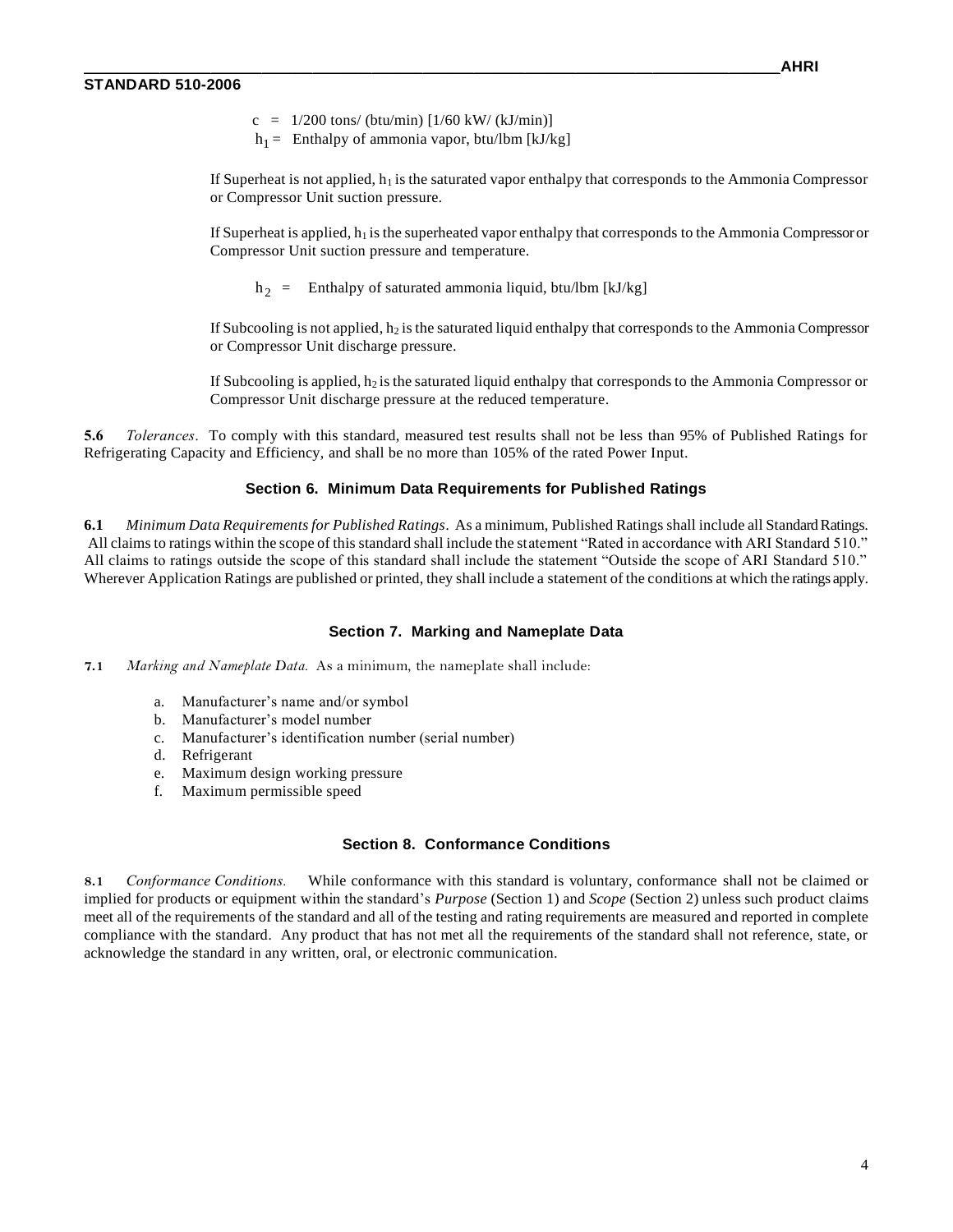- $c = 1/200$  tons/ (btu/min)  $[1/60$  kW/ (kJ/min)]
- $h_1$  = Enthalpy of ammonia vapor, btu/lbm [kJ/kg]

If Superheat is not applied,  $h_1$  is the saturated vapor enthalpy that corresponds to the Ammonia Compressor or Compressor Unit suction pressure.

If Superheat is applied,  $h_1$  is the superheated vapor enthalpy that corresponds to the Ammonia Compressor or Compressor Unit suction pressure and temperature.

 $h_2$  = Enthalpy of saturated ammonia liquid, btu/lbm [kJ/kg]

If Subcooling is not applied,  $h_2$  is the saturated liquid enthalpy that corresponds to the Ammonia Compressor or Compressor Unit discharge pressure.

If Subcooling is applied,  $h_2$  is the saturated liquid enthalpy that corresponds to the Ammonia Compressor or Compressor Unit discharge pressure at the reduced temperature.

**5.6** *Tolerances*. To comply with this standard, measured test results shall not be less than 95% of Published Ratings for Refrigerating Capacity and Efficiency, and shall be no more than 105% of the rated Power Input.

#### **Section 6. Minimum Data Requirements for Published Ratings**

**6.1** *Minimum Data Requirements for Published Ratings*. As a minimum, Published Ratings shall include all Standard Ratings. All claims to ratings within the scope of this standard shall include the statement "Rated in accordance with ARI Standard 510." All claims to ratings outside the scope of this standard shall include the statement "Outside the scope of ARI Standard 510." Wherever Application Ratings are published or printed, they shall include a statement of the conditions at which the ratings apply.

#### **Section 7. Marking and Nameplate Data**

**7.1** *Marking and Nameplate Data.* As a minimum, the nameplate shall include:

- a. Manufacturer's name and/or symbol
- b. Manufacturer's model number
- c. Manufacturer's identification number (serial number)
- d. Refrigerant
- e. Maximum design working pressure
- f. Maximum permissible speed

#### **Section 8. Conformance Conditions**

**8.1** *Conformance Conditions.* While conformance with this standard is voluntary, conformance shall not be claimed or implied for products or equipment within the standard's *Purpose* (Section 1) and *Scope* (Section 2) unless such product claims meet all of the requirements of the standard and all of the testing and rating requirements are measured and reported in complete compliance with the standard. Any product that has not met all the requirements of the standard shall not reference, state, or acknowledge the standard in any written, oral, or electronic communication.